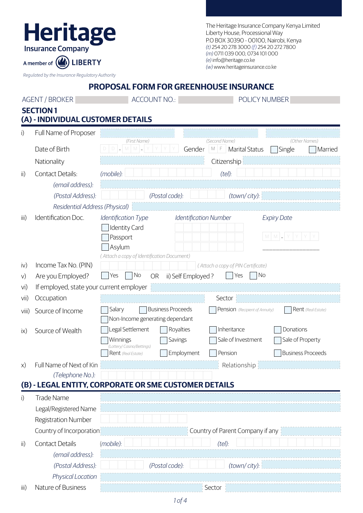| The Heritage Insurance Company Kenya Limited |
|----------------------------------------------|
| Liberty House, Processional Way              |
| P.O BOX 30390 - 00100, Nairobi, Kenya        |
| (t) 254 20 278 3000 (f) 254 20 272 7800      |
| (m) 0711 039 000, 0734 101 000               |
| (e) info@heritage.co.ke                      |
| (w) www.heritageinsurance.co.ke              |

*Regulated by the Insurance Regulatory Authority*

A member of *Q* LIBERTY

Heritage

## **PROPOSAL FORM FOR GREENHOUSE INSURANCE**

| <b>AGENT / BROKER</b>     |                                          | <b>ACCOUNT NO.:</b><br>POLICY NUMBER                                                                  |  |  |  |
|---------------------------|------------------------------------------|-------------------------------------------------------------------------------------------------------|--|--|--|
|                           | <b>SECTION 1</b>                         |                                                                                                       |  |  |  |
|                           | (A) - INDIVIDUAL CUSTOMER DETAILS        |                                                                                                       |  |  |  |
| i)                        | Full Name of Proposer                    | (First Name)<br>(Second Name)<br>(Other Names)                                                        |  |  |  |
|                           | Date of Birth                            | $D$ $M$ $M$ $L$<br>$M$ $F$<br>Gender<br><b>Marital Status</b><br>Single<br>Married                    |  |  |  |
|                           | Nationality                              | Citizenship                                                                                           |  |  |  |
| $\mathsf{ii}$             | Contact Details:                         | (tel):<br>(mobile):                                                                                   |  |  |  |
|                           | (email address):                         |                                                                                                       |  |  |  |
|                           | (Postal Address):                        | (Postal code):<br>(town/city):                                                                        |  |  |  |
|                           | Residential Address (Physical)           |                                                                                                       |  |  |  |
| $\overline{\mathsf{iii}}$ | Identification Doc.                      | Identification Type<br><b>Identification Number</b><br><b>Expiry Date</b>                             |  |  |  |
|                           |                                          | <b>Identity Card</b>                                                                                  |  |  |  |
|                           |                                          | $M$ $M$ $=$<br>Passport                                                                               |  |  |  |
|                           |                                          | Asylum<br>(Attach a copy of Identification Document)                                                  |  |  |  |
| iv)                       | Income Tax No. (PIN)                     | (Attach a copy of PIN Certificate)                                                                    |  |  |  |
| V)                        | Are you Employed?                        | No<br>No<br>Yes<br><b>OR</b><br>ii) Self Employed?<br>Yes                                             |  |  |  |
| vi)                       | If employed, state your current employer |                                                                                                       |  |  |  |
| Vi <sub>1</sub>           | Occupation                               | Sector                                                                                                |  |  |  |
| Viii)                     | Source of Income                         | <b>Business Proceeds</b><br>Salary<br>Pension (Recipient of Annuity)<br>Rent (Real Estate)            |  |  |  |
|                           | Source of Wealth                         | Non-Income generating dependant<br>Legal Settlement<br>Royalties<br>Inheritance<br>Donations          |  |  |  |
| $i\mathsf{x}$             |                                          | Sale of Investment<br>Sale of Property<br>Winnings<br>Savings                                         |  |  |  |
|                           |                                          | (Lottery/ Casino/Bettings)<br>Employment<br><b>Business Proceeds</b><br>Pension<br>Rent (Real Estate) |  |  |  |
| (x)                       | Full Name of Next of Kin                 | Relationship                                                                                          |  |  |  |
|                           | (Telephone No.):                         |                                                                                                       |  |  |  |
|                           |                                          | (B) - LEGAL ENTITY, CORPORATE OR SME CUSTOMER DETAILS                                                 |  |  |  |
| i)                        | <b>Trade Name</b>                        |                                                                                                       |  |  |  |
|                           | Legal/Registered Name                    |                                                                                                       |  |  |  |
|                           | Registration Number                      |                                                                                                       |  |  |  |
|                           | Country of Incorporation                 | Country of Parent Company if any                                                                      |  |  |  |
| $\mathsf{ii}$             | <b>Contact Details</b>                   | (mobile):<br>(tel):                                                                                   |  |  |  |
|                           | (email address):                         |                                                                                                       |  |  |  |
|                           | (Postal Address):                        | (Postal code):<br>(town/city):                                                                        |  |  |  |
|                           | Physical Location                        |                                                                                                       |  |  |  |
| iii)                      | Nature of Business                       | Sector                                                                                                |  |  |  |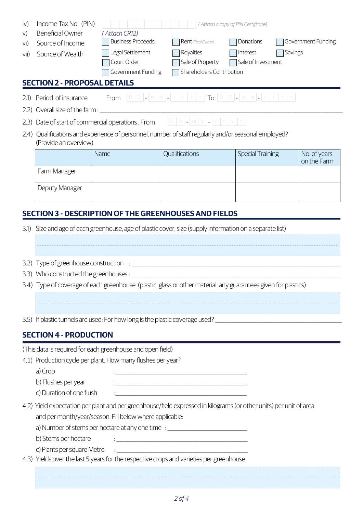| <b>Beneficial Owner</b><br>Source of Income<br>Source of Wealth                                                                                                             | (Attach CR12)<br><b>Business Proceeds</b><br>Legal Settlement<br>Court Order             | Rent (Real Estate)<br>Royalties<br>Sale of Property                                                                                                    | Donations<br>Interest<br>Sale of Investment                                                                                                                                                                | Government Funding<br>Savings                                                                                                                                                                                                                                                                                                                                                                                                                                                                                    |  |
|-----------------------------------------------------------------------------------------------------------------------------------------------------------------------------|------------------------------------------------------------------------------------------|--------------------------------------------------------------------------------------------------------------------------------------------------------|------------------------------------------------------------------------------------------------------------------------------------------------------------------------------------------------------------|------------------------------------------------------------------------------------------------------------------------------------------------------------------------------------------------------------------------------------------------------------------------------------------------------------------------------------------------------------------------------------------------------------------------------------------------------------------------------------------------------------------|--|
|                                                                                                                                                                             |                                                                                          |                                                                                                                                                        |                                                                                                                                                                                                            |                                                                                                                                                                                                                                                                                                                                                                                                                                                                                                                  |  |
| 2.2)                                                                                                                                                                        |                                                                                          |                                                                                                                                                        |                                                                                                                                                                                                            |                                                                                                                                                                                                                                                                                                                                                                                                                                                                                                                  |  |
|                                                                                                                                                                             |                                                                                          |                                                                                                                                                        |                                                                                                                                                                                                            |                                                                                                                                                                                                                                                                                                                                                                                                                                                                                                                  |  |
| (Provide an overview).                                                                                                                                                      |                                                                                          |                                                                                                                                                        |                                                                                                                                                                                                            |                                                                                                                                                                                                                                                                                                                                                                                                                                                                                                                  |  |
|                                                                                                                                                                             | Name                                                                                     | Qualifications                                                                                                                                         | <b>Special Training</b>                                                                                                                                                                                    | No. of years<br>on the Farm                                                                                                                                                                                                                                                                                                                                                                                                                                                                                      |  |
| Farm Manager                                                                                                                                                                |                                                                                          |                                                                                                                                                        |                                                                                                                                                                                                            |                                                                                                                                                                                                                                                                                                                                                                                                                                                                                                                  |  |
| Deputy Manager                                                                                                                                                              |                                                                                          |                                                                                                                                                        |                                                                                                                                                                                                            |                                                                                                                                                                                                                                                                                                                                                                                                                                                                                                                  |  |
| <b>SECTION 3 - DESCRIPTION OF THE GREENHOUSES AND FIELDS</b><br>Size and age of each greenhouse, age of plastic cover, size (supply information on a separate list)<br>3.1) |                                                                                          |                                                                                                                                                        |                                                                                                                                                                                                            |                                                                                                                                                                                                                                                                                                                                                                                                                                                                                                                  |  |
|                                                                                                                                                                             |                                                                                          |                                                                                                                                                        |                                                                                                                                                                                                            |                                                                                                                                                                                                                                                                                                                                                                                                                                                                                                                  |  |
|                                                                                                                                                                             |                                                                                          |                                                                                                                                                        |                                                                                                                                                                                                            |                                                                                                                                                                                                                                                                                                                                                                                                                                                                                                                  |  |
| 3.4) Type of coverage of each greenhouse (plastic, glass or other material; any guarantees given for plastics)                                                              |                                                                                          |                                                                                                                                                        |                                                                                                                                                                                                            |                                                                                                                                                                                                                                                                                                                                                                                                                                                                                                                  |  |
|                                                                                                                                                                             |                                                                                          |                                                                                                                                                        |                                                                                                                                                                                                            |                                                                                                                                                                                                                                                                                                                                                                                                                                                                                                                  |  |
|                                                                                                                                                                             |                                                                                          |                                                                                                                                                        |                                                                                                                                                                                                            |                                                                                                                                                                                                                                                                                                                                                                                                                                                                                                                  |  |
|                                                                                                                                                                             |                                                                                          |                                                                                                                                                        |                                                                                                                                                                                                            |                                                                                                                                                                                                                                                                                                                                                                                                                                                                                                                  |  |
|                                                                                                                                                                             |                                                                                          |                                                                                                                                                        |                                                                                                                                                                                                            |                                                                                                                                                                                                                                                                                                                                                                                                                                                                                                                  |  |
|                                                                                                                                                                             |                                                                                          |                                                                                                                                                        |                                                                                                                                                                                                            |                                                                                                                                                                                                                                                                                                                                                                                                                                                                                                                  |  |
|                                                                                                                                                                             |                                                                                          |                                                                                                                                                        |                                                                                                                                                                                                            |                                                                                                                                                                                                                                                                                                                                                                                                                                                                                                                  |  |
|                                                                                                                                                                             |                                                                                          |                                                                                                                                                        |                                                                                                                                                                                                            |                                                                                                                                                                                                                                                                                                                                                                                                                                                                                                                  |  |
|                                                                                                                                                                             |                                                                                          |                                                                                                                                                        |                                                                                                                                                                                                            |                                                                                                                                                                                                                                                                                                                                                                                                                                                                                                                  |  |
|                                                                                                                                                                             |                                                                                          |                                                                                                                                                        |                                                                                                                                                                                                            |                                                                                                                                                                                                                                                                                                                                                                                                                                                                                                                  |  |
|                                                                                                                                                                             |                                                                                          |                                                                                                                                                        |                                                                                                                                                                                                            |                                                                                                                                                                                                                                                                                                                                                                                                                                                                                                                  |  |
|                                                                                                                                                                             |                                                                                          |                                                                                                                                                        |                                                                                                                                                                                                            |                                                                                                                                                                                                                                                                                                                                                                                                                                                                                                                  |  |
| b) Stems per hectare                                                                                                                                                        |                                                                                          |                                                                                                                                                        |                                                                                                                                                                                                            |                                                                                                                                                                                                                                                                                                                                                                                                                                                                                                                  |  |
|                                                                                                                                                                             |                                                                                          |                                                                                                                                                        |                                                                                                                                                                                                            |                                                                                                                                                                                                                                                                                                                                                                                                                                                                                                                  |  |
|                                                                                                                                                                             | 4.3) Yields over the last 5 years for the respective crops and varieties per greenhouse. |                                                                                                                                                        |                                                                                                                                                                                                            |                                                                                                                                                                                                                                                                                                                                                                                                                                                                                                                  |  |
|                                                                                                                                                                             | Period of insurance<br>a) Crop<br>b) Flushes per year                                    | Income Tax No. (PIN)<br><b>SECTION 2 - PROPOSAL DETAILS</b><br><b>SECTION 4 - PRODUCTION</b><br>c) Duration of one flush<br>c) Plants per square Metre | Government Funding<br>(This data is required for each greenhouse and open field)<br>4.1) Production cycle per plant. How many flushes per year?<br>and per month/year/season. Fill below where applicable: | (Attach a copy of PIN Certificate)<br>Shareholders Contribution<br><b>From</b> $ D D  -  M M  -  Y Y Y Y $ To $ D  -  M M  -  Y Y Y Y$<br>2.4) Qualifications and experience of personnel, number of staff regularly and/or seasonal employed?<br><u> 1980 - Johann Barn, fransk politik (d. 1980)</u><br>4.2) Yield expectation per plant and per greenhouse/field expressed in kilograms (or other units) per unit of area<br>a) Number of stems per hectare at any one time : _______________________________ |  |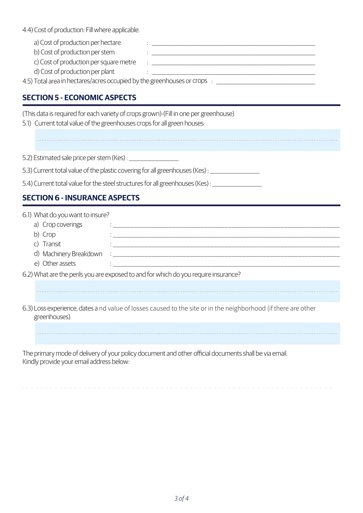4.4) Cost of production: Fill where applicable.

 a) Cost of production per hectare :  $\mathbf{r} = \mathbf{r} - \mathbf{r}$ :  $\mathbf{r} = \mathbf{r} - \mathbf{r}$ 

b) Cost of production per stem

c) Cost of production per square metre  $\qquad : \qquad \qquad 1$ d) Cost of production per plant

4.5) Total area in hectares/acres occupied by the greenhouses or crops : \_\_\_\_\_\_\_\_\_\_\_\_\_\_\_\_\_\_\_\_\_\_\_\_\_\_\_\_\_\_\_\_\_\_\_\_\_\_\_\_\_\_\_\_\_\_:  $\frac{1}{2}$  ,  $\frac{1}{2}$  ,  $\frac{1}{2}$  ,  $\frac{1}{2}$  ,  $\frac{1}{2}$  ,  $\frac{1}{2}$  ,  $\frac{1}{2}$  ,  $\frac{1}{2}$  ,  $\frac{1}{2}$  ,  $\frac{1}{2}$  ,  $\frac{1}{2}$  ,  $\frac{1}{2}$  ,  $\frac{1}{2}$  ,  $\frac{1}{2}$  ,  $\frac{1}{2}$  ,  $\frac{1}{2}$  ,  $\frac{1}{2}$  ,  $\frac{1}{2}$  ,  $\frac$ 

## **SECTION 5 - ECONOMIC ASPECTS**

(This data is required for each variety of crops grown)-(Fill in one per greenhouse)

5.1) Current total value of the greenhouses crops for all green houses:

5.2) Estimated sale price per stem (Kes) : \_\_\_\_\_\_\_\_\_\_\_\_\_\_\_\_\_\_\_\_\_\_\_

5.3) Current total value of the plastic covering for all greenhouses (Kes) : \_\_\_\_\_\_\_\_\_\_\_\_\_\_\_\_\_\_\_\_\_\_\_

5.4) Current total value for the steel structures for all greenhouses (Kes) : \_\_\_\_\_\_\_\_\_\_\_\_\_\_\_\_\_\_\_\_\_\_

## **SECTION 6 - INSURANCE ASPECTS**

| 6.1) What do you want to insure?                                                                                                |                                                                                                       |  |  |  |  |
|---------------------------------------------------------------------------------------------------------------------------------|-------------------------------------------------------------------------------------------------------|--|--|--|--|
| a) Crop coverings                                                                                                               |                                                                                                       |  |  |  |  |
| b) Crop                                                                                                                         |                                                                                                       |  |  |  |  |
| c) Transit                                                                                                                      |                                                                                                       |  |  |  |  |
| d) Machinery Breakdown                                                                                                          | <b>Communication</b>                                                                                  |  |  |  |  |
| e) Other assets                                                                                                                 |                                                                                                       |  |  |  |  |
| 6.2) What are the perils you are exposed to and for which do you require insurance?                                             |                                                                                                       |  |  |  |  |
|                                                                                                                                 |                                                                                                       |  |  |  |  |
|                                                                                                                                 |                                                                                                       |  |  |  |  |
| 6.3) Loss experience, dates a nd value of losses caused to the site or in the neighborhood (if there are other<br>greenhouses). |                                                                                                       |  |  |  |  |
|                                                                                                                                 |                                                                                                       |  |  |  |  |
|                                                                                                                                 | The primary mode of delivery of your policy document and other official documents shall be via email. |  |  |  |  |

Kindly provide your email address below: